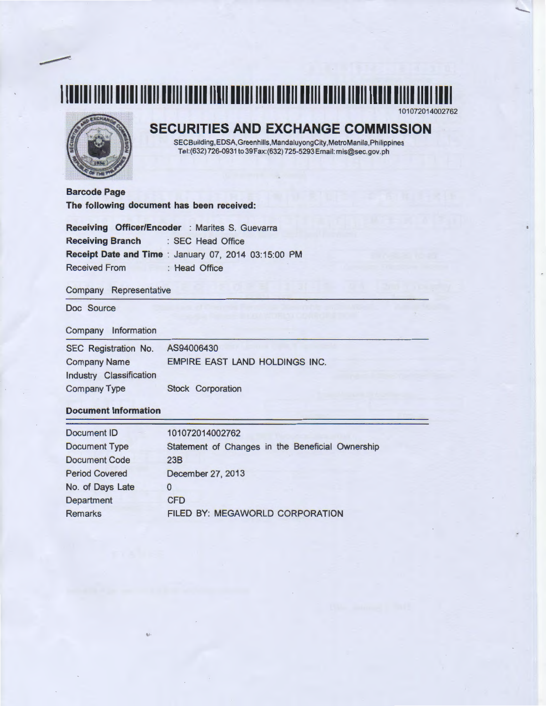

## **SECURITIES AND EXCHANGE COMMISSION**

101072014002762

SECBuilding,EDSA,Greenhills,MandaluyongCity,MetroManila,Philippines Tel:(632) 726-0931 to39Fax:(632) 725-5293 Email: mis@sec.gov.ph

**Barcode Page The following document has been received:** 

**Receiving Officer/Encoder** : Marites S. Guevarra **Receiving Branch** : SEC Head Office **Receipt Date and Time** : January 07, 2014 03:15:00 PM Received From : Head Office

Company Representative

Doc Source

## Company Information

| SEC Registration No.    | AS94006430                            |
|-------------------------|---------------------------------------|
| <b>Company Name</b>     | <b>EMPIRE EAST LAND HOLDINGS INC.</b> |
| Industry Classification |                                       |
| <b>Company Type</b>     | <b>Stock Corporation</b>              |

## **Document Information**

| <b>Document ID</b>    | 101072014002762                                  |
|-----------------------|--------------------------------------------------|
| <b>Document Type</b>  | Statement of Changes in the Beneficial Ownership |
| <b>Document Code</b>  | 23B                                              |
| <b>Period Covered</b> | December 27, 2013                                |
| No. of Days Late      | 0                                                |
| Department            | <b>CFD</b>                                       |
| <b>Remarks</b>        | <b>FILED BY: MEGAWORLD CORPORATION</b>           |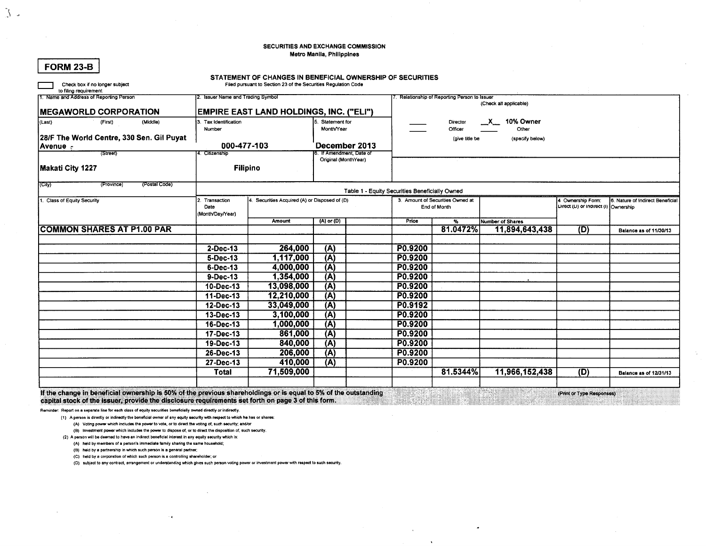### SECURITIES AND EXCHANGE COMMISSION Metro Manila, Philippines

| Check box if no longer subject<br>to filing requirement |                                                | STATEMENT OF CHANGES IN BENEFICIAL OWNERSHIP OF SECURITIES<br>Filed pursuant to Section 23 of the Securities Regulation Code |                                           |                                   |                                                |                                  |                                      |                   |                                  |  |  |  |
|---------------------------------------------------------|------------------------------------------------|------------------------------------------------------------------------------------------------------------------------------|-------------------------------------------|-----------------------------------|------------------------------------------------|----------------------------------|--------------------------------------|-------------------|----------------------------------|--|--|--|
| 1. Name and Address of Reporting Person                 | 2. Issuer Name and Trading Symbol              |                                                                                                                              |                                           |                                   | . Relationship of Reporting Person to Issuer   |                                  |                                      |                   |                                  |  |  |  |
| <b>MEGAWORLD CORPORATION</b>                            | <b>EMPIRE EAST LAND HOLDINGS, INC. ("ELI")</b> |                                                                                                                              |                                           |                                   |                                                |                                  | (Check all applicable)               |                   |                                  |  |  |  |
| (Last)<br>(First)<br>(Middle)                           | 3. Tax Identification                          |                                                                                                                              | 5. Statement for                          |                                   |                                                | Director                         | X 10% Owner                          |                   |                                  |  |  |  |
|                                                         | Number                                         |                                                                                                                              | Month/Year                                |                                   | Officer                                        |                                  | Other                                |                   |                                  |  |  |  |
| 28/F The World Centre, 330 Sen. Gil Puyat               |                                                |                                                                                                                              |                                           |                                   |                                                | (give title be                   | (specify below)                      |                   |                                  |  |  |  |
| Avenue +<br>(Street)                                    | 000-477-103<br>4. Citizenship                  |                                                                                                                              | December 2013<br>3. If Amendment, Date of |                                   |                                                |                                  |                                      |                   |                                  |  |  |  |
|                                                         |                                                |                                                                                                                              | Original (MonthYear)                      |                                   |                                                |                                  |                                      |                   |                                  |  |  |  |
| Makati City 1227                                        | <b>Filipino</b>                                |                                                                                                                              |                                           |                                   |                                                |                                  |                                      |                   |                                  |  |  |  |
| (City)<br>(Postal Code)<br>(Province)                   |                                                |                                                                                                                              |                                           |                                   | Table 1 - Equity Securities Beneficially Owned |                                  |                                      |                   |                                  |  |  |  |
| 1. Class of Equity Security                             | 2. Transaction                                 | 4. Securities Acquired (A) or Disposed of (D)                                                                                |                                           |                                   |                                                | 3. Amount of Securities Owned at |                                      | 4 Ownership Form: | 6. Nature of Indirect Beneficial |  |  |  |
|                                                         | Date                                           | (A) or (D)                                                                                                                   |                                           | End of Month                      |                                                |                                  | Direct (D) or indirect (I) Ownership |                   |                                  |  |  |  |
|                                                         | Month/Day/Year)<br>Amount                      |                                                                                                                              |                                           | Price<br>$\overline{\mathcal{H}}$ |                                                | <b>Number of Shares</b>          |                                      |                   |                                  |  |  |  |
| <b>COMMON SHARES AT P1.00 PAR</b>                       |                                                |                                                                                                                              |                                           |                                   |                                                | 81.0472%                         | 11,894,643,438                       | (D)               | Balance as of 11/30/13           |  |  |  |
|                                                         |                                                |                                                                                                                              |                                           |                                   |                                                |                                  |                                      |                   |                                  |  |  |  |
|                                                         | $2$ -Dec-13                                    | 264,000                                                                                                                      | (A)                                       |                                   | P0.9200                                        |                                  |                                      |                   |                                  |  |  |  |
|                                                         | 5-Dec-13                                       | 1,117,000                                                                                                                    | (A)                                       |                                   | P0.9200                                        |                                  |                                      |                   |                                  |  |  |  |
|                                                         | 6-Dec-13                                       | 4.000.000                                                                                                                    | (A)                                       |                                   | P0.9200                                        |                                  |                                      |                   |                                  |  |  |  |
|                                                         | 9-Dec-13                                       | 1,354,000                                                                                                                    | $(\overline{A})$                          |                                   | P0.9200                                        |                                  |                                      |                   |                                  |  |  |  |
|                                                         | 10-Dec-13                                      | 13,098,000                                                                                                                   | (A)                                       |                                   | P0.9200                                        |                                  |                                      |                   |                                  |  |  |  |
|                                                         | 11-Dec-13                                      | 12,210,000                                                                                                                   | (A)                                       |                                   | P0.9200                                        |                                  |                                      |                   |                                  |  |  |  |
|                                                         | 12-Dec-13                                      | 33,049,000                                                                                                                   | (A)                                       |                                   | P0.9192                                        |                                  |                                      |                   |                                  |  |  |  |
|                                                         | 13-Dec-13                                      | 3,100,000                                                                                                                    | (A)                                       |                                   | P0.9200                                        |                                  |                                      |                   |                                  |  |  |  |
|                                                         | 16-Dec-13                                      | 1,000,000                                                                                                                    | (A)                                       |                                   | P0.9200                                        |                                  |                                      |                   |                                  |  |  |  |
|                                                         | 17-Dec-13                                      | 861,000                                                                                                                      | $\overline{A}$                            |                                   | P0.9200                                        |                                  |                                      |                   |                                  |  |  |  |
|                                                         | 19-Dec-13                                      | 840,000                                                                                                                      | (A)                                       |                                   | P0.9200                                        |                                  |                                      |                   |                                  |  |  |  |
|                                                         | 26-Dec-13                                      | 206,000                                                                                                                      | (A)                                       |                                   | P0.9200                                        |                                  |                                      |                   |                                  |  |  |  |
|                                                         | 27-Dec-13                                      | 410,000                                                                                                                      | (A)                                       |                                   | P0.9200                                        |                                  |                                      |                   |                                  |  |  |  |
|                                                         | Total                                          | 71,509,000                                                                                                                   |                                           |                                   |                                                | 81.5344%                         | 11,966,152,438                       | (D)               | <b>Balance as of 12/31/13</b>    |  |  |  |
|                                                         |                                                |                                                                                                                              |                                           |                                   |                                                |                                  |                                      |                   |                                  |  |  |  |

If the change in beneficial ownership is 50% of the previous shareholdings or is equal to 5% of the outstanding (Print or Type Responses) capital stock of the issuer, provide the disclosure requirements set forth on page 3 of this form.

Reminder: Report on a separate line for each class of equity securities beneficially owned directly or indirectly.

(1) A person is directly or indirectly the beneficial owner of any equity security with respect to which he has or shares:

(A) Voting power which includes the power to vote, or to direct the voting of, such security; and/or

(B) Investment power which includes the power to dispose of, or to direct the disposition of, such security.

(2) A person will be deemed to have an indirect beneficial interest in any equity security which is:

(A) held by members of a person's immediate family sharing the same household;

(B) held by a partnership in which such person is a general partner;

(C) held by a corporation of which such person is a controlling shareholder; or

(D) subject to any contract, arrangement or understanding which gives such person voting power or investment power with respect to such security.

 $|$  FORM 23-B

 $\mathcal{Y}$ .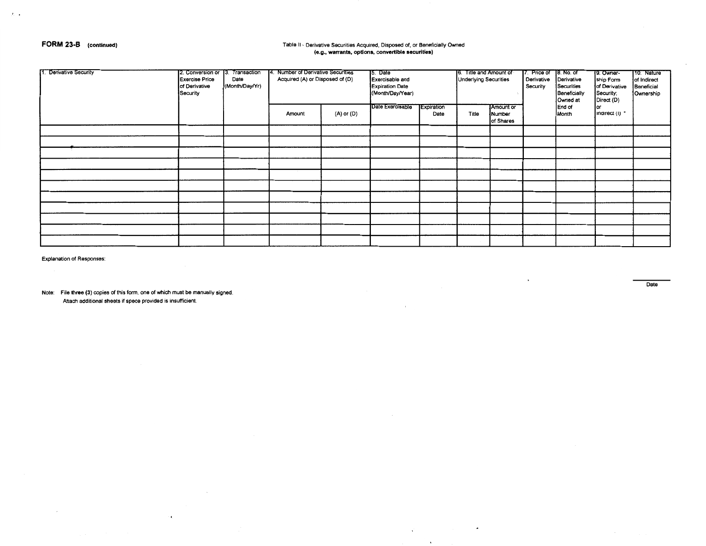## FORM 23-B (continued)

 $\lambda \rightarrow 0$ 

# Table II - Derivative Securities Acquired, Disposed of, or Beneficially Owned<br>(e.g., warrants, options, convertible securities)

| Derivative Security | 2. Conversion or 13. Transaction<br><b>Exercise Price</b><br>of Derivative<br>Security | Date<br>(Month/Day/Yr) | 14. Number of Derivative Securities<br>Acquired (A) or Disposed of (D)<br>(A) or (D)<br>Amount |  | 15. Date<br>Exercisable and<br><b>Expiration Date</b><br>(Month/Day/Year)<br>Date Exercisable<br><b>Expiration</b><br>Date |  | 6. Title and Amount of<br><b>Underlying Securities</b><br><b>JAmount</b> or<br>Title<br>Number<br>of Shares |  | 17. Price of<br>Derivative<br>Security | B. No. of<br>Derivative<br>Securities<br>Beneficially<br>Owned at<br>End of<br>Month | {9. Owner-<br>ship Form<br>of Derivative<br>Security;<br>Direct (D)<br>lor<br>Indirect (I) * | 10. Nature<br>of Indirect<br>Beneficial<br>Ownership |
|---------------------|----------------------------------------------------------------------------------------|------------------------|------------------------------------------------------------------------------------------------|--|----------------------------------------------------------------------------------------------------------------------------|--|-------------------------------------------------------------------------------------------------------------|--|----------------------------------------|--------------------------------------------------------------------------------------|----------------------------------------------------------------------------------------------|------------------------------------------------------|
|                     |                                                                                        |                        |                                                                                                |  |                                                                                                                            |  |                                                                                                             |  |                                        |                                                                                      |                                                                                              |                                                      |
|                     |                                                                                        |                        |                                                                                                |  |                                                                                                                            |  |                                                                                                             |  |                                        |                                                                                      |                                                                                              |                                                      |
|                     |                                                                                        |                        |                                                                                                |  |                                                                                                                            |  |                                                                                                             |  |                                        |                                                                                      |                                                                                              |                                                      |
|                     |                                                                                        |                        |                                                                                                |  |                                                                                                                            |  |                                                                                                             |  |                                        |                                                                                      |                                                                                              |                                                      |
|                     |                                                                                        |                        |                                                                                                |  |                                                                                                                            |  |                                                                                                             |  |                                        |                                                                                      |                                                                                              |                                                      |
|                     |                                                                                        |                        |                                                                                                |  |                                                                                                                            |  |                                                                                                             |  |                                        |                                                                                      |                                                                                              |                                                      |
|                     |                                                                                        |                        |                                                                                                |  |                                                                                                                            |  |                                                                                                             |  |                                        |                                                                                      |                                                                                              |                                                      |
|                     |                                                                                        |                        |                                                                                                |  |                                                                                                                            |  |                                                                                                             |  |                                        |                                                                                      |                                                                                              |                                                      |
|                     |                                                                                        |                        |                                                                                                |  |                                                                                                                            |  |                                                                                                             |  |                                        |                                                                                      |                                                                                              |                                                      |
|                     |                                                                                        |                        |                                                                                                |  |                                                                                                                            |  |                                                                                                             |  |                                        |                                                                                      |                                                                                              |                                                      |
|                     |                                                                                        |                        |                                                                                                |  |                                                                                                                            |  |                                                                                                             |  |                                        |                                                                                      |                                                                                              |                                                      |

 $\mathcal{L}^{\mathcal{L}}$  and  $\mathcal{L}^{\mathcal{L}}$  and  $\mathcal{L}^{\mathcal{L}}$ 

 $\vec{A}$ 

 $\mathbf{v}$ 

**Explanation of Responses:** 

Note: File three (3) copies of this form, one of which must be manually signed. Attach additional sheets if spece provided is insufficient.

 $\bullet$ 

Date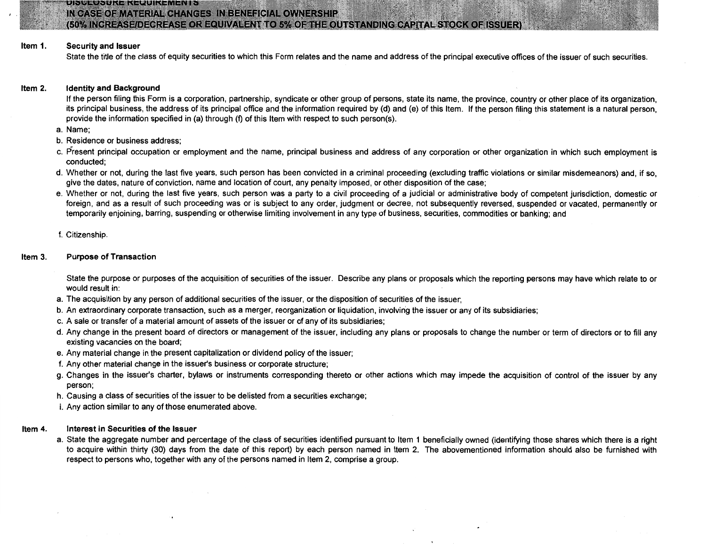网络网络多尔科尔德罗普尼科尔曼科西科斯

IN CASE OF MATERIAL CHANGES IN BENEFICIAL OWNERSHIP

## (50% INCREASE/DECREASE OR EQUIVALENT TO 5% OF THE OUTSTANDING CAPITAL STOCK OF ISSUER)

#### Item 1. Security and Issuer

 $\cdot$   $\cdot$ 

State the title of the class of equity securities to which this Form relates and the name and address of the principal executive offices of the issuer of such securities.

#### Item 2. Identity and Background

If the person filing this Form is a corporation, partnership, syndicate or other group of persons, state its name, the province, country or other place of its organization, its principal business, the address of its principal office and the information required by (d) and (e) of this Item. If the person filing this statement is a natural person, provide the information specified in (a) through (f) of this Item with respect to such person(s).

a. Name;

- b. Residence or business address;
- c. Present principal occupation or employment and the name, principal business and address of any corporation or other organization in which such employment is conducted;
- d. Whether or not, during the last five years, such person has been convicted in a criminal proceeding (excluding traffic violations or similar misdemeanors) and, if so, give the dates, nature of conviction, name and location of court, any penalty imposed, or other disposition of the case;
- e. Whether or not, during the last five years, such person was a party to a civil proceeding of a judicial or administrative body of competent jurisdiction, domestic or foreign, and as a result of such proceeding was or is subject to any order, judgment or decree, not subsequently reversed, suspended or vacated, permanently or temporarily enjoining, barring, suspending or otherwise limiting involvement in any type of business, securities, commodities or banking; and

f. Citizenship.

#### Item 3. Purpose of Transaction

State the purpose or purposes of the acquisition of securities of the issuer. Describe any plans or proposals which the reporting persons may have which relate to or would result in:

- a. The acquisition by any person of additional securities of the issuer, or the disposition of securities of the issuer;
- b. An extraordinary corporate transaction, such as a merger, reorganization or liquidation, involvin'g the issuer or any of its subsidiaries;
- c. A sale or transfer of a material amount of assets of the issuer or of any of its subsidiaries;
- d. Any change in the present board of directors or management of the issuer, including any plans or proposals to change the number or term of directors or to fill any existing vacancies on the board;
- e. Any material change in the present capitalization or dividend policy of the issuer;
- f. Any other material change in the issuer's business or corporate structure;
- g. Changes in the issuer's charter, bylaws or instruments corresponding thereto or other actions which may impede the acquisition of control of the issuer by any person;
- h. Causing a class of securities of the issuer to be delisted from a securities exchange;
- i. Any action similar to any of those enumerated above.

#### Item 4. Interest in Securities of the Issuer

a. State the aggregate number and percentage of the class of securities identified pursuant to Item 1 beneficially owned (identifying those shares which there is a right to acquire within thirty (30) days from the date of this report) by each person named in Item 2. The abovementioned information should also be furnished with respect to persons who, together with any of the persons named in Item 2, comprise a group.